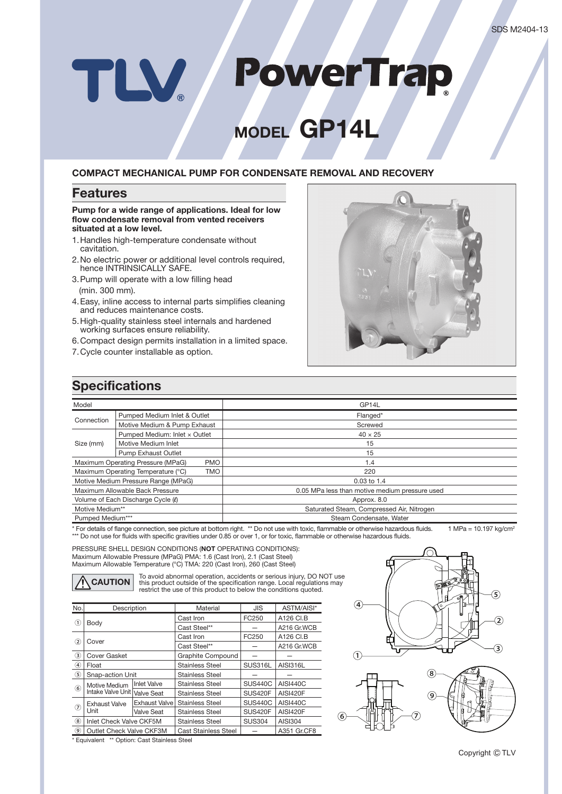# **PowerTrap** TLV

# **MODEL GP14L**

#### **COMPACT MECHANICAL PUMP FOR CONDENSATE REMOVAL AND RECOVERY**

### **Features**

**Pump for a wide range of applications. Ideal for low flow condensate removal from vented receivers situated at a low level.**

- 1. Handles high-temperature condensate without cavitation.
- 2. No electric power or additional level controls required, hence INTRINSICALLY SAFE.
- 3. Pump will operate with a low filling head (min. 300 mm).
- 4. Easy, inline access to internal parts simplifies cleaning and reduces maintenance costs.
- 5. High-quality stainless steel internals and hardened working surfaces ensure reliability.
- 6. Compact design permits installation in a limited space.
- 7. Cycle counter installable as option.



## **Specifications**

| Model                                            |                               | GP <sub>14L</sub>                              |  |  |  |  |
|--------------------------------------------------|-------------------------------|------------------------------------------------|--|--|--|--|
|                                                  | Pumped Medium Inlet & Outlet  | Flanged*                                       |  |  |  |  |
| Connection                                       | Motive Medium & Pump Exhaust  | Screwed                                        |  |  |  |  |
|                                                  | Pumped Medium: Inlet x Outlet | $40 \times 25$                                 |  |  |  |  |
| Size (mm)                                        | Motive Medium Inlet           | 15                                             |  |  |  |  |
|                                                  | Pump Exhaust Outlet           | 15                                             |  |  |  |  |
| Maximum Operating Pressure (MPaG)<br><b>PMO</b>  |                               | 1.4                                            |  |  |  |  |
| Maximum Operating Temperature (°C)<br><b>TMO</b> |                               | 220                                            |  |  |  |  |
| Motive Medium Pressure Range (MPaG)              |                               | $0.03$ to 1.4                                  |  |  |  |  |
| Maximum Allowable Back Pressure                  |                               | 0.05 MPa less than motive medium pressure used |  |  |  |  |
| Volume of Each Discharge Cycle (0)               |                               | Approx. 8.0                                    |  |  |  |  |
| Motive Medium**                                  |                               | Saturated Steam, Compressed Air, Nitrogen      |  |  |  |  |
| Pumped Medium***                                 |                               | Steam Condensate, Water                        |  |  |  |  |

\* For details of flange connection, see picture at bottom right. \*\* Do not use with toxic, flammable or otherwise hazardous fluids. 1 MPa = 10.197 kg/cm<sup>2</sup> \*\*\* Do not use for fluids with specific gravities under 0.85 or over 1, or for toxic, flammable or otherwise hazardous fluids.

PRESSURE SHELL DESIGN CONDITIONS (**NOT** OPERATING CONDITIONS): Maximum Allowable Pressure (MPaG) PMA: 1.6 (Cast Iron), 2.1 (Cast Steel) Maximum Allowable Temperature (°C) TMA: 220 (Cast Iron), 260 (Cast Steel)

To avoid abnormal operation, accidents or serious injury, DO NOT use<br>this product outside of the specification range. Local regulations may<br>restrict the use of this product to below the conditions quoted.

| No.            | Description                  |                    | Material                    | JIS            | ASTM/AISI*      |  |
|----------------|------------------------------|--------------------|-----------------------------|----------------|-----------------|--|
|                |                              |                    | Cast Iron                   | FC250          | A126 CI.B       |  |
| ⋒              | Body                         |                    | Cast Steel**                |                | A216 Gr.WCB     |  |
| $\circled{2}$  |                              |                    | Cast Iron                   | FC250          | A126 CI.B       |  |
|                | Cover                        |                    | Cast Steel**                |                | A216 Gr.WCB     |  |
| ③              | Cover Gasket                 |                    | Graphite Compound           |                |                 |  |
| $\circled{4}$  | Float                        |                    | <b>Stainless Steel</b>      | SUS316L        | AISI316L        |  |
| $\circled{5}$  | Snap-action Unit             |                    | <b>Stainless Steel</b>      |                |                 |  |
| $\circled{6}$  | Motive Medium                | <b>Inlet Valve</b> | <b>Stainless Steel</b>      | <b>SUS440C</b> | <b>AISI440C</b> |  |
|                | Intake Valve Unit Valve Seat |                    | <b>Stainless Steel</b>      | <b>SUS420F</b> | AISI420F        |  |
| $\circled7$    | <b>Exhaust Valve</b>         | Exhaust Valve      | <b>Stainless Steel</b>      | <b>SUS440C</b> | <b>AISI440C</b> |  |
|                | Unit                         | <b>Valve Seat</b>  | <b>Stainless Steel</b>      | <b>SUS420F</b> | AISI420F        |  |
| $\circled{8}$  | Inlet Check Valve CKF5M      |                    | <b>Stainless Steel</b>      | <b>SUS304</b>  | AISI304         |  |
| $\circledcirc$ | Outlet Check Valve CKF3M     |                    | <b>Cast Stainless Steel</b> |                | A351 Gr.CF8     |  |

(ହ  $\circled{1}$  $\circled{2}$ ③ ⑤ ④



\* Equivalent \*\* Option: Cast Stainless Steel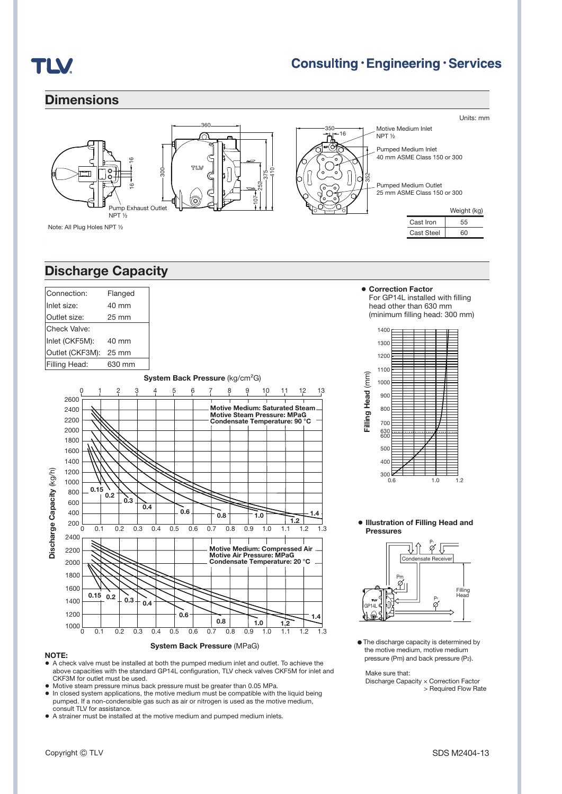

## **Consulting · Engineering · Services**

### **Dimensions**



### **Discharge Capacity**

|                           | Connection:     |      |     | Flanged        |               |     |                                             |     |                                                                   |     |         |     |                                                                     |     |     |
|---------------------------|-----------------|------|-----|----------------|---------------|-----|---------------------------------------------|-----|-------------------------------------------------------------------|-----|---------|-----|---------------------------------------------------------------------|-----|-----|
| Inlet size:<br>40 mm      |                 |      |     |                |               |     |                                             |     |                                                                   |     |         |     |                                                                     |     |     |
| Outlet size:<br>25 mm     |                 |      |     |                |               |     |                                             |     |                                                                   |     |         |     |                                                                     |     |     |
|                           | Check Valve:    |      |     |                |               |     |                                             |     |                                                                   |     |         |     |                                                                     |     |     |
|                           | Inlet (CKF5M):  |      |     | 40 mm          |               |     |                                             |     |                                                                   |     |         |     |                                                                     |     |     |
|                           | Outlet (CKF3M): |      |     | 25 mm          |               |     |                                             |     |                                                                   |     |         |     |                                                                     |     |     |
|                           | Filling Head:   |      |     | 630 mm         |               |     |                                             |     |                                                                   |     |         |     |                                                                     |     |     |
|                           |                 |      |     |                |               |     | System Back Pressure (kg/cm <sup>2</sup> G) |     |                                                                   |     |         |     |                                                                     |     |     |
|                           | 0               |      |     | $\overline{c}$ | $\frac{3}{1}$ | 4   | $\frac{5}{1}$                               | 6   |                                                                   | 8   | 10<br>9 |     | 11                                                                  | 12  | 13  |
|                           | 2600            |      |     |                |               |     |                                             |     |                                                                   |     |         |     |                                                                     |     |     |
|                           | 2400            |      |     |                |               |     |                                             |     |                                                                   |     |         |     | <b>Motive Medium: Saturated Steam.</b>                              |     |     |
|                           | 2200            |      |     |                |               |     |                                             |     |                                                                   |     |         |     | <b>Motive Steam Pressure: MPaG</b><br>Condensate Temperature: 90 °C |     |     |
|                           | 2000            |      |     |                |               |     |                                             |     |                                                                   |     |         |     |                                                                     |     |     |
|                           | 1800            |      |     |                |               |     |                                             |     |                                                                   |     |         |     |                                                                     |     |     |
|                           | 1600            |      |     |                |               |     |                                             |     |                                                                   |     |         |     |                                                                     |     |     |
|                           | 1400            |      |     |                |               |     |                                             |     |                                                                   |     |         |     |                                                                     |     |     |
|                           | 1200            |      |     |                |               |     |                                             |     |                                                                   |     |         |     |                                                                     |     |     |
|                           | 1000            |      |     |                |               |     |                                             |     |                                                                   |     |         |     |                                                                     |     |     |
|                           | 800             | 0.15 |     |                |               |     |                                             |     |                                                                   |     |         |     |                                                                     |     |     |
|                           | 600             |      | 0.2 | 0.3            |               |     |                                             |     |                                                                   |     |         |     |                                                                     |     |     |
|                           | 400             |      |     |                | 0.4           |     | 0.6                                         |     |                                                                   |     |         |     |                                                                     |     |     |
|                           | 200             |      |     |                |               |     |                                             |     | 0.8                                                               |     | 1.0     |     | 1.2                                                                 | 1.4 |     |
| Discharge Capacity (kg/h) | 0               | 0.1  |     | 0.2            | 0.3           | 0.4 | 0.5                                         | 0.6 | 0.7                                                               | 0.8 | 0.9     | 1.0 | 1.1                                                                 | 1.2 | 1.3 |
|                           | 2400            |      |     |                |               |     |                                             |     |                                                                   |     |         |     |                                                                     |     |     |
|                           | 2200            |      |     |                |               |     |                                             |     | <b>Motive Medium: Compressed Air</b><br>Motive Air Pressure: MPaG |     |         |     |                                                                     |     |     |
|                           | 2000            |      |     |                |               |     |                                             |     | Condensate Temperature: 20 °C                                     |     |         |     |                                                                     |     |     |
|                           | 1800            |      |     |                |               |     |                                             |     |                                                                   |     |         |     |                                                                     |     |     |
|                           | 1600            |      |     |                |               |     |                                             |     |                                                                   |     |         |     |                                                                     |     |     |
|                           | 1400            | 0.15 | 0.2 | 0.3            | 0.4           |     |                                             |     |                                                                   |     |         |     |                                                                     |     |     |
|                           | 1200            |      |     |                |               |     | 0.6 <sub>2</sub>                            |     |                                                                   |     |         |     |                                                                     |     |     |
|                           | 1000            |      |     |                |               |     |                                             |     | 0.8                                                               |     | 1.0     |     | 1.2                                                                 |     | 1.4 |
|                           | 0               | 0.1  |     | 0.2            | 0.3           | 0.4 | 0.5                                         | 0.6 | 0.7                                                               | 0.8 | 0.9     | 1.0 | 1.1                                                                 | 1.2 | 1.3 |

#### **NOTE:**

**●** A check valve must be installed at both the pumped medium inlet and outlet. To achieve the above capacities with the standard GP14L configuration, TLV check valves CKF5M for inlet and CKF3M for outlet must be used.

**System Back Pressure** (MPaG)

- **●** Motive steam pressure minus back pressure must be greater than 0.05 MPa.
- **●** In closed system applications, the motive medium must be compatible with the liquid being pumped. If a non-condensible gas such as air or nitrogen is used as the motive medium, consult TLV for assistance.
- **●** A strainer must be installed at the motive medium and pumped medium inlets.

**● Correction Factor** For GP14L installed with filling head other than 630 mm (minimum filling head: 300 mm)



#### **● Illustration of Filling Head and Pressures**



● The discharge capacity is determined by the motive medium, motive medium pressure (Pm) and back pressure (P2).

Make sure that:

Discharge Capacity × Correction Factor > Required Flow Rate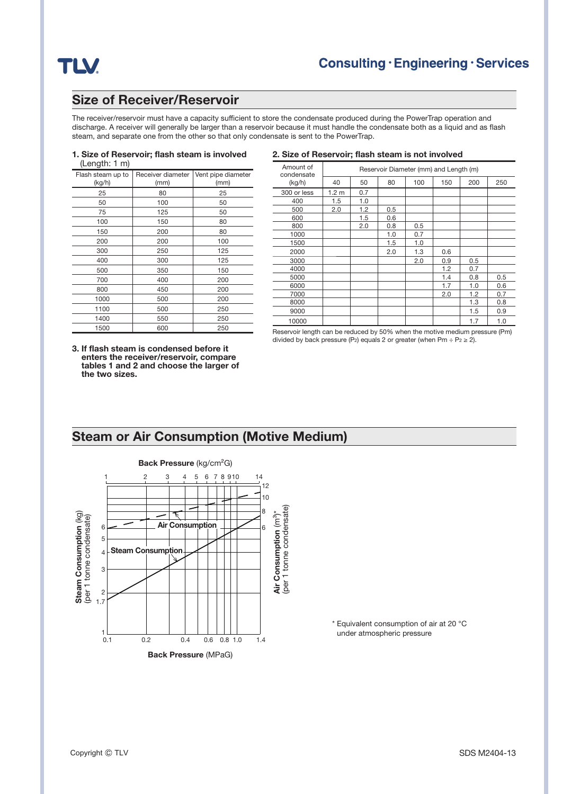## **TLV**

### **Size of Receiver/Reservoir**

The receiver/reservoir must have a capacity sufficient to store the condensate produced during the PowerTrap operation and discharge. A receiver will generally be larger than a reservoir because it must handle the condensate both as a liquid and as flash steam, and separate one from the other so that only condensate is sent to the PowerTrap.

#### **1. Size of Reservoir; flash steam is involved** (Length: 1 m)

| Flash steam up to<br>(kg/h) | Receiver diameter<br>(mm) | Vent pipe diameter<br>(mm) |
|-----------------------------|---------------------------|----------------------------|
| 25                          | 80                        | 25                         |
| 50                          | 100                       | 50                         |
| 75                          | 125                       | 50                         |
| 100                         | 150                       | 80                         |
| 150                         | 200                       | 80                         |
| 200                         | 200                       | 100                        |
| 300                         | 250                       | 125                        |
| 400                         | 300                       | 125                        |
| 500                         | 350                       | 150                        |
| 700                         | 400                       | 200                        |
| 800                         | 450                       | 200                        |
| 1000                        | 500                       | 200                        |
| 1100                        | 500                       | 250                        |
| 1400                        | 550                       | 250                        |
| 1500                        | 600                       | 250                        |

#### **2. Size of Reservoir; flash steam is not involved**

| Amount of<br>condensate | Reservoir Diameter (mm) and Length (m) |     |     |     |     |     |     |  |
|-------------------------|----------------------------------------|-----|-----|-----|-----|-----|-----|--|
| (kg/h)                  | 40                                     | 50  | 80  | 100 | 150 | 200 | 250 |  |
| 300 or less             | 1.2 <sub>m</sub>                       | 0.7 |     |     |     |     |     |  |
| 400                     | 1.5                                    | 1.0 |     |     |     |     |     |  |
| 500                     | 2.0                                    | 1.2 | 0.5 |     |     |     |     |  |
| 600                     |                                        | 1.5 | 0.6 |     |     |     |     |  |
| 800                     |                                        | 2.0 | 0.8 | 0.5 |     |     |     |  |
| 1000                    |                                        |     | 1.0 | 0.7 |     |     |     |  |
| 1500                    |                                        |     | 1.5 | 1.0 |     |     |     |  |
| 2000                    |                                        |     | 2.0 | 1.3 | 0.6 |     |     |  |
| 3000                    |                                        |     |     | 2.0 | 0.9 | 0.5 |     |  |
| 4000                    |                                        |     |     |     | 1.2 | 0.7 |     |  |
| 5000                    |                                        |     |     |     | 1.4 | 0.8 | 0.5 |  |
| 6000                    |                                        |     |     |     | 1.7 | 1.0 | 0.6 |  |
| 7000                    |                                        |     |     |     | 2.0 | 1.2 | 0.7 |  |
| 8000                    |                                        |     |     |     |     | 1.3 | 0.8 |  |
| 9000                    |                                        |     |     |     |     | 1.5 | 0.9 |  |
| 10000                   |                                        |     |     |     |     | 1.7 | 1.0 |  |

**3. If fl ash steam is condensed before it enters the receiver/reservoir, compare tables 1 and 2 and choose the larger of the two sizes.**

Reservoir length can be reduced by 50% when the motive medium pressure (Pm) divided by back pressure (P<sub>2</sub>) equals 2 or greater (when Pm  $\div$  P<sub>2</sub>  $\ge$  2).

## **Steam or Air Consumption (Motive Medium) Back Pressure** (kg/cm²G) 1 2 3 4 5 6 7 8 9 10 14 8 10 12



\* Equivalent consumption of air at 20 °C under atmospheric pressure